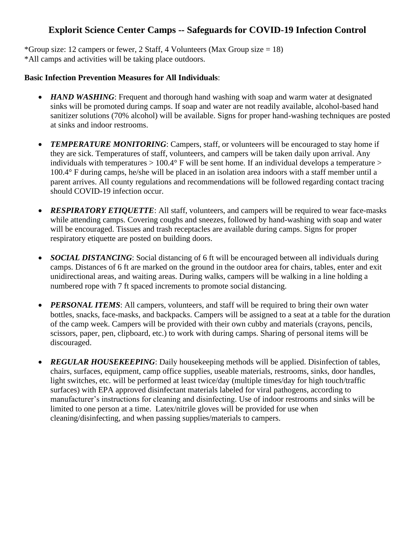## **Explorit Science Center Camps -- Safeguards for COVID-19 Infection Control**

\*Group size: 12 campers or fewer, 2 Staff, 4 Volunteers (Max Group size  $= 18$ ) \*All camps and activities will be taking place outdoors.

#### **Basic Infection Prevention Measures for All Individuals**:

- *HAND WASHING*: Frequent and thorough hand washing with soap and warm water at designated sinks will be promoted during camps. If soap and water are not readily available, alcohol-based hand sanitizer solutions (70% alcohol) will be available. Signs for proper hand-washing techniques are posted at sinks and indoor restrooms.
- *TEMPERATURE MONITORING*: Campers, staff, or volunteers will be encouraged to stay home if they are sick. Temperatures of staff, volunteers, and campers will be taken daily upon arrival. Any individuals with temperatures  $> 100.4^{\circ}$  F will be sent home. If an individual develops a temperature  $>$ 100.4° F during camps, he/she will be placed in an isolation area indoors with a staff member until a parent arrives. All county regulations and recommendations will be followed regarding contact tracing should COVID-19 infection occur.
- *RESPIRATORY ETIQUETTE*: All staff, volunteers, and campers will be required to wear face-masks while attending camps. Covering coughs and sneezes, followed by hand-washing with soap and water will be encouraged. Tissues and trash receptacles are available during camps. Signs for proper respiratory etiquette are posted on building doors.
- *SOCIAL DISTANCING*: Social distancing of 6 ft will be encouraged between all individuals during camps. Distances of 6 ft are marked on the ground in the outdoor area for chairs, tables, enter and exit unidirectional areas, and waiting areas. During walks, campers will be walking in a line holding a numbered rope with 7 ft spaced increments to promote social distancing.
- *PERSONAL ITEMS*: All campers, volunteers, and staff will be required to bring their own water bottles, snacks, face-masks, and backpacks. Campers will be assigned to a seat at a table for the duration of the camp week. Campers will be provided with their own cubby and materials (crayons, pencils, scissors, paper, pen, clipboard, etc.) to work with during camps. Sharing of personal items will be discouraged.
- *REGULAR HOUSEKEEPING*: Daily housekeeping methods will be applied. Disinfection of tables, chairs, surfaces, equipment, camp office supplies, useable materials, restrooms, sinks, door handles, light switches, etc. will be performed at least twice/day (multiple times/day for high touch/traffic surfaces) with EPA approved disinfectant materials labeled for viral pathogens, according to manufacturer's instructions for cleaning and disinfecting. Use of indoor restrooms and sinks will be limited to one person at a time. Latex/nitrile gloves will be provided for use when cleaning/disinfecting, and when passing supplies/materials to campers.